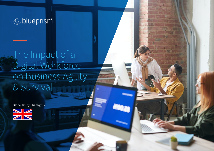

# The Impact of a Digital Workforce on Business Agility & Survival

Global Study Highlights: UK

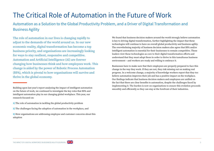# The Critical Role of Automation in the Future of Work

Automation as a Solution to the Global Productivity Problem, and a Driver of Digital Transformation and Business Agility

The role of automation in our lives is changing rapidly to adjust to the demands of the world around us. In our new economic reality, digital transformation has become a top business priority, and organisations are increasingly looking for ways to stay resilient, responsive and competitive. Automation and Artificial Intelligence (AI) are forever changing how businesses think and how employees work. This change is aided by the power of Robotic Process Automation (RPA), which is pivotal to how organisations will survive and thrive in the global economy.

- 1) The role of automation in tackling the global productivity problem
- 2) The challenges facing the adoption of automation in the workplace, and
- 3) How organisations are addressing employee and customer concerns about this adoption

We found that business decision makers around the world strongly believe automation is key to driving digital transformation, further highlighting the impact that these technologies will continue to have on overall global productivity and business agility. The overwhelming majority of business decision makers also agree that RPA and/or intelligent automation is essential for their businesses to remain competitive. These leaders view these technologies as core to their digital transformation efforts and understand that they must adopt them in order to thrive in this tumultuous business environment – and workers are ready and willing to embrace it.

Businesses have to make sure that their employees are properly prepared to face this change in the way they work. If they are not, they risk missing out on making real progress. In a welcome change, a majority of knowledge workers report that they too believe automation improves their job and has a positive impact on the workplace. Our findings indicate that business decision makers and employees are unified on the fact that there are clear benefits to automation, despite the challenges faced by implementing it. The burden is now on organisations to ensure this evolution proceeds smoothly and efficiently so they can stay at the forefront of their industries.



Building upon last year's report analyzing the impact of intelligent automation on the future of work, we continued to investigate the key roles that RPA and intelligent automation play in our changing global workplace. This year, our research focused on: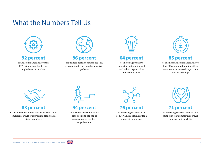## What the Numbers Tell Us



## **92 percent**

of decision makers believe that RPA is important for driving digital transformation



## **86 percent**

of business decision makers see RPA as a solution to the global productivity problem



## **64 percent**

of knowledge workers agree that automation will make their organisation more innovative



## **85 percent**

of business decision makers believe that RPA and/or automation offers more to the business than just time and cost savings



## **83 percent**

of business decision makers believe that their employees would trust working alongside a digital workforce



## **94 percent**

of business decision makers plan to extend the use of automation across their organisations



of knowledge workers feel comfortable in reskilling for a change in work role



### **71 percent**

of knowledge workers believe that using tech to automate tasks would improve their work life

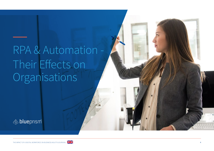# RPA & Automation - Their Effects on **Organisations**



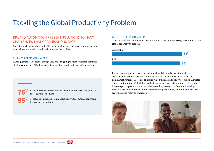# Tackling the Global Productivity Problem

### RPA AND AUTOMATION PRESENT SOLUTIONS TO MANY CHALLENGES THAT ORGANISATIONS FACE

Half of knowledge workers in the UK are struggling with workload demands, of which 72% believe automation would help alleviate the problem.

### BUSINESS DECISION MAKERS

**76%**

**95%**

Three quarters (76%) feel as though they are struggling to meet customer demands – of which almost all (95%) believe that automation would help solve the problem.

> of business decision makers feel as though they are struggling to meet customer demand

of those business decision makers believe that automation would help solve the problem

### BUSINESS DECISION MAKERS

4 in 5 business decision makers see automation (88%) and RPA (86%) as solutions to the global productivity problem.



Knowledge workers are struggling with workload demands, decision makers are struggling to meet customer demands, and too much time is being spent on administrative tasks. These are all issues which the majority believe could be alleviated through automation. With global productivity growth stagnating at one-tenth of what it was 40 years ago for some economies, according to research from the Brookings Institute, new data points to automation technology as a likely solution, and workers are willing and ready to embrace it.



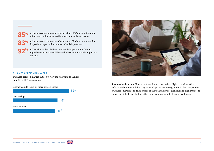

of business decision makers believe that RPA/and or automation offers more to the business than just time and cost savings



**92%**

of business decision makers believe that RPA/and or automation helps their organisation connect siloed departments

of decision makers believe that RPA is important for driving digital transformation while 94% believe automation is important for this

### BUSINESS DECISION MAKERS

Business decision makers in the UK view the following as the key benefits of RPA/automation

Allows team to focus on more strategic work





Business leaders view RPA and automation as core to their digital transformation efforts, and understand that they must adopt the technology or die in this competitive business environment. The benefits of the technology are plentiful and even transcend departmental silos, a challenge that many companies still struggle to address.

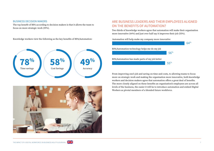### BUSINESS DECISION MAKERS

The top benefit of RPA according to decision makers is that it allows the team to focus on more strategic work (59%).

Knowledge workers view the following as the key benefits of RPA/Automation:





### ARE BUSINESS LEADERS AND THEIR EMPLOYEES ALIGNED ON THE BENEFITS OF AUTOMATION?

Two thirds of knowledge workers agree that automation will make their organisation more innovative (64%) and just over half say it improves their job (55%).

Automation will help make my company more innovative



From improving one's job and saving on time and costs, to allowing teams to focus more on strategic work and making the organisation more innovative, both knowledge workers and decision makers agree that automation offers a great deal of benefits. The more closely aligned on these benefits an organisation's employees are across all levels of the business, the easier it will be to introduce automation and embed Digital Workers as pivotal members of a blended future workforce.

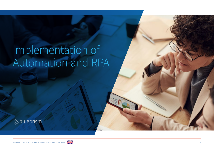# Implementation of Automation and RPA



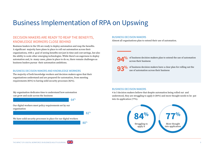# Business Implementation of RPA on Upswing

### DECISION MAKERS ARE READY TO REAP THE BENEFITS, KNOWLEDGE WORKERS CLOSE BEHIND

Business leaders in the UK are ready to deploy automation and reap the benefits. A significant majority have plans in place to roll out automation across their organisations, with a goal of seeing benefits not just in time and cost savings, but also the ability to scale other emerging technologies. While there's an eagerness to deploy automation and, in many cases, plans in place to do so, there remain challenges as business leaders pursue their automation ambitions.

### BUSINESS DECISION MAKERS AND KNOWLEDGE WORKERS

The majority of both knowledge workers and decision makers agree that their organisations understand and are prepared for automation, from meeting requirements (85%) to having solid security processes (82%).

My organisation dedicates time to understand how automation can grow and scale across the business

Our digital workers meet policy requirements set by our organisation

82%

We have solid security processes in place for our digital workers

80%

### BUSINESS DECISION MAKERS

Almost all organisations plan to extend their use of automation.

**94%**

of business decision makers plan to extend the use of automation across their business

of business decision makers have a clear plan for rolling out the use of automation across their business **93%**

### BUSINESS DECISION MAKERS

4 in 5 decision makers believe that despite automation being rolled out and understood, they are struggling to apply it (84%) and more thought needs to be put into its application (77%).





64%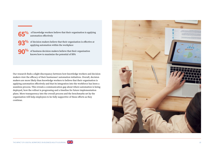

**65%**

**93%**

of decision makers believe that their organisation is effective at applying automation within the workplace

**90%** of business decision makers believe that their organisation knows how to maximize the potential of RPA knows how to maximize the potential of RPA

Our research finds a slight discrepancy between how knowledge workers and decision makers view the efficacy of their businesses' automation initiatives. Overall, decision makers are more likely than knowledge workers to believe that their organisation is applying automation effectively and that its integration into the workforce has been a seamless process. This reveals a communication gap about where automation is being deployed, how the rollout is progressing and a timeline for future implementation plans. More transparency into the overall process and the benchmarks set by the organisation will help employees to be fully supportive of these efforts as they continue.

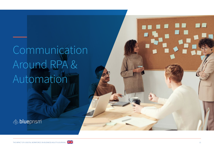# **Communication** Around RPA & Automation





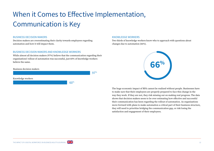# When it Comes to Effective Implementation, Communication is Key

### BUSINESS DECISION MAKERS

Decision makers are overestimating their clarity towards employees regarding automation and how it will impact them.

### BUSINESS DECISION MAKERS AND KNOWLEDGE WORKERS

While almost all decision makers (97%) believe that the communication regarding their organisations' rollout of automation was successful, just 60% of knowledge workers believe the same.

### Business decision makers Knowledge workers 97% 60%

### KNOWLEDGE WORKERS

Two thirds of knowledge workers know who to approach with questions about changes due to automation (66%).



The huge economic impact of RPA cannot be realized without people. Businesses have to make sure that their employees are properly prepared to face this change in the way they work. If they are not, they risk missing out on making real progress. The data shows that decision makers seem to be over estimating how effective and successful their communication has been regarding the rollout of automation. As organisations move forward with plans to make automation a critical part of their business structure, they will need to prioritize bridging the communication gap, or risk losing the satisfaction and engagement of their employees.

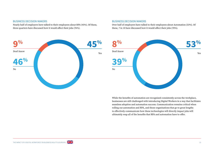#### BUSINESS DECISION MAKERS

Nearly half of employers have talked to their employees about RPA (45%). Of these, three quarters have discussed how it would affect their jobs (76%).



#### BUSINESS DECISION MAKERS

Over half of employers have talked to their employees about Automation (53%). Of these, 7 in 10 have discussed how it would affect their jobs (70%).



While the benefits of automation are recognized consistently across the workplace, businesses are still challenged with introducing Digital Workers in a way that facilitates seamless adoption and automation success. Communication remains critical when rolling out automation and RPA, and those organisations that go to great lengths to effectively communicate how these technologies will directly impact jobs will ultimately reap all of the benefits that RPA and automation have to offer.

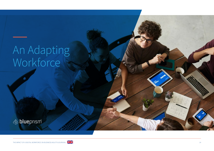# An Adapting Workforce



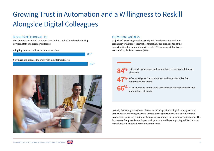# Growing Trust in Automation and a Willingness to Reskill Alongside Digital Colleagues

83%

85%

### BUSINESS DECISION MAKERS

Decision makers in the UK are positive in their outlook on the relationship between staff and digital workforces:

#### Adopting new tech will attract the most talent

New hires are prepared to work with a digital workforce



### KNOWLEDGE WORKERS

Majority of knowledge workers (84%) feel that they understand how technology will impact their jobs. Almost half are even excited at the opportunities that automation will create (47%), an aspect that is overestimated by decision makers (66%).

## **84%**

 of knowledge workers understand how technology will impact their jobs

of knowledge workers are excited at the opportunities that automation will create **47%**

of business decision makers are excited at the opportunities that automation will create **66%**

Overall, there's a growing level of trust in and adaptation to digital colleagues. With almost half of knowledge workers excited at the opportunities that automation will create, employees are continuously moving to embrace the benefits of automation. The businesses that provide employees with guidance and learning as Digital Workers are introduced will enable the smoothest transition.

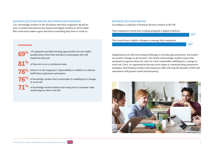### BUSINESS DECISION MAKERS AND KNOWLEDGE WORKERS

3 in 5 knowledge workers in the UK believe that their employers should do more to build trust between the human and digital workforces (62%) while 88% of decision makers agree that this is something they have to work on.

### BUSINESS DECISION MAKERS

According to a majority of business decision makers in the UK:

#### Their employees would trust working alongside a digital workforce



 of companies provide learning opportunities for new skills/ qualifications when they introduce technologies that will transform their job **69%**

of these do so on a continuous basis

**81%**

**71%**

believe it is the employers' responsibility to reskill or re-educate **78%** believe it is the employers' respons staff if they implement automation

of knowledge workers feel comfortable in reskilling for a change in work role **76%**

> of knowledge workers believe that using tech to automate tasks would improve their work life

Organisations are still overcoming challenges to introducing automation, but leaders see positive change on the horizon. Two-thirds of knowledge workers report that automation improves their job, and 3 in 4 feel comfortable reskilling for a change in work role (76%). As organisations become more adept at communicating automation strategies, both business leaders and employees alike will reap the benefits of RPA and automation with greater speed and frequency.



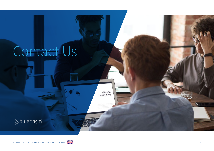# Contact Us





Identify<br>Your topic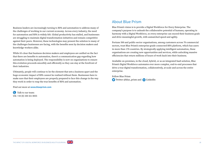Business leaders are increasingly turning to RPA and automation to address many of the challenges of working in our current economy. Across every industry, the need for automation and RPA is widely felt. Global productivity has stalled, and businesses are struggling to maintain digital transformation initiatives and remain competitive against their peers. However, these technologies may present the solution to many of the challenges businesses are facing, with the benefits seen by decision makers and knowledge workers alike.

While it's clear that business decision makers and employees are unified on the fact that there are benefits to automation, there's a communication gap regarding how automation is being deployed. The responsibility is now on organisations to ensure this evolution proceeds smoothly and efficiently so they can stay at the forefront of their industries.

Ultimately, people will continue to be the element that sets a business apart and the huge economic impact of RPA cannot be realized without them. Businesses have to make sure that their employees are properly prepared to face this change in the way they work in order to reap the true benefits of RPA and automation.

Find out more at **www.blueprism.com**

**C** Talk to our team: UK: +44 (0) 330 321 0055

### About Blue Prism

Blue Prism's vision is to provide a Digital Workforce for Every Enterprise. The company's purpose is to unleash the collaborative potential of humans, operating in harmony with a Digital Workforce, so every enterprise can exceed their business goals and drive meaningful growth, with unmatched speed and agility.

Fortune 500 and public-sector organisations, among customers across 70 commercial sectors, trust Blue Prism's enterprise-grade connected-RPA platform, which has users in more than 170 countries. By strategically applying intelligent automation, these organisations are creating new opportunities and services, while unlocking massive efficiencies that return millions of hours of work back into their business.

Available on-premises, in the cloud, hybrid, or as an integrated SaaS solution, Blue Prism's Digital Workforce automates ever more complex, end-to-end processes that drive a true digital transformation, collaboratively, at scale and across the entire enterprise.

Follow Blue Prism **T** Twitter @blue\_prism and **fin** LinkedIn

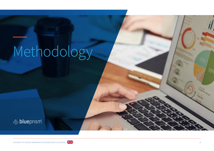# Methodology